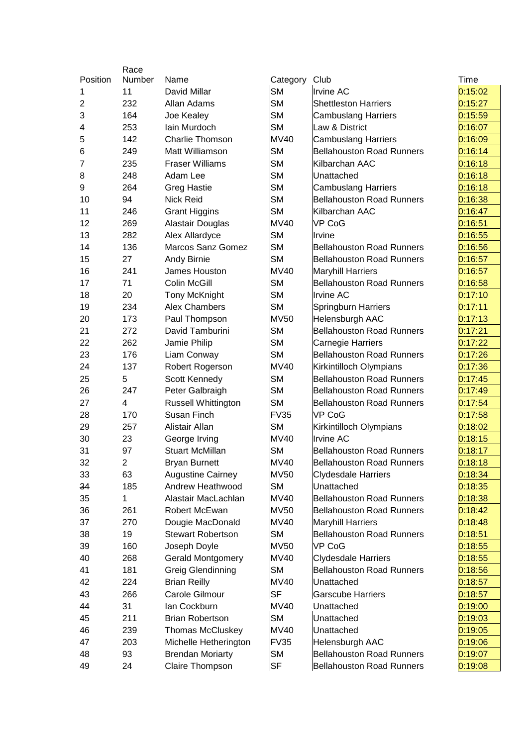|                | Race           |                            |             |                                  |         |
|----------------|----------------|----------------------------|-------------|----------------------------------|---------|
| Position       | Number         | Name                       | Category    | Club                             | Time    |
| 1              | 11             | David Millar               | <b>SM</b>   | <b>Irvine AC</b>                 | 0:15:02 |
| $\overline{2}$ | 232            | Allan Adams                | <b>SM</b>   | <b>Shettleston Harriers</b>      | 0:15:27 |
| 3              | 164            | Joe Kealey                 | <b>SM</b>   | <b>Cambuslang Harriers</b>       | 0:15:59 |
| 4              | 253            | lain Murdoch               | <b>SM</b>   | Law & District                   | 0:16:07 |
| 5              | 142            | <b>Charlie Thomson</b>     | <b>MV40</b> | <b>Cambuslang Harriers</b>       | 0:16:09 |
| 6              | 249            | Matt Williamson            | <b>SM</b>   | <b>Bellahouston Road Runners</b> | 0:16:14 |
| 7              | 235            | <b>Fraser Williams</b>     | <b>SM</b>   | Kilbarchan AAC                   | 0:16:18 |
| 8              | 248            | Adam Lee                   | <b>SM</b>   | Unattached                       | 0:16:18 |
| 9              | 264            | <b>Greg Hastie</b>         | <b>SM</b>   | <b>Cambuslang Harriers</b>       | 0:16:18 |
| 10             | 94             | <b>Nick Reid</b>           | <b>SM</b>   | <b>Bellahouston Road Runners</b> | 0:16:38 |
| 11             | 246            | <b>Grant Higgins</b>       | <b>SM</b>   | Kilbarchan AAC                   | 0:16:47 |
| 12             | 269            | Alastair Douglas           | <b>MV40</b> | <b>VP CoG</b>                    | 0:16:51 |
| 13             | 282            | Alex Allardyce             | <b>SM</b>   | Irvine                           | 0:16:55 |
| 14             | 136            | Marcos Sanz Gomez          | <b>SM</b>   | <b>Bellahouston Road Runners</b> | 0:16:56 |
| 15             | 27             | Andy Birnie                | <b>SM</b>   | <b>Bellahouston Road Runners</b> | 0:16:57 |
| 16             | 241            | James Houston              | <b>MV40</b> | <b>Maryhill Harriers</b>         | 0:16:57 |
| 17             | 71             | Colin McGill               | <b>SM</b>   | <b>Bellahouston Road Runners</b> | 0:16:58 |
| 18             | 20             | <b>Tony McKnight</b>       | <b>SM</b>   | Irvine AC                        | 0:17:10 |
| 19             | 234            | Alex Chambers              | <b>SM</b>   | <b>Springburn Harriers</b>       | 0:17:11 |
| 20             | 173            | Paul Thompson              | <b>MV50</b> | Helensburgh AAC                  | 0:17:13 |
| 21             | 272            | David Tamburini            | <b>SM</b>   | <b>Bellahouston Road Runners</b> | 0:17:21 |
| 22             | 262            | Jamie Philip               | <b>SM</b>   | Carnegie Harriers                | 0:17:22 |
| 23             | 176            | Liam Conway                | <b>SM</b>   | <b>Bellahouston Road Runners</b> | 0:17:26 |
| 24             | 137            | Robert Rogerson            | <b>MV40</b> | Kirkintilloch Olympians          | 0:17:36 |
| 25             | 5              | Scott Kennedy              | <b>SM</b>   | <b>Bellahouston Road Runners</b> | 0:17:45 |
| 26             | 247            | Peter Galbraigh            | <b>SM</b>   | <b>Bellahouston Road Runners</b> | 0:17:49 |
| 27             | 4              | <b>Russell Whittington</b> | <b>SM</b>   | <b>Bellahouston Road Runners</b> | 0:17:54 |
| 28             | 170            | Susan Finch                | <b>FV35</b> | VP CoG                           | 0:17:58 |
| 29             | 257            | Alistair Allan             | <b>SM</b>   | Kirkintilloch Olympians          | 0:18:02 |
| 30             | 23             | George Irving              | <b>MV40</b> | <b>Irvine AC</b>                 | 0:18:15 |
| 31             | 97             | <b>Stuart McMillan</b>     | SМ          | <b>Bellahouston Road Runners</b> | 0:18:17 |
| 32             | $\overline{2}$ | <b>Bryan Burnett</b>       | <b>MV40</b> | <b>Bellahouston Road Runners</b> | 0:18:18 |
| 33             | 63             | <b>Augustine Cairney</b>   | <b>MV50</b> | <b>Clydesdale Harriers</b>       | 0:18:34 |
| 34             | 185            | Andrew Heathwood           | SM          | Unattached                       | 0:18:35 |
| 35             | 1              | Alastair MacLachlan        | <b>MV40</b> | <b>Bellahouston Road Runners</b> | 0:18:38 |
| 36             | 261            | Robert McEwan              | <b>MV50</b> | <b>Bellahouston Road Runners</b> | 0:18:42 |
| 37             | 270            | Dougie MacDonald           | <b>MV40</b> | <b>Maryhill Harriers</b>         | 0:18:48 |
| 38             | 19             | <b>Stewart Robertson</b>   | SM          | <b>Bellahouston Road Runners</b> | 0:18:51 |
| 39             | 160            | Joseph Doyle               | <b>MV50</b> | VP CoG                           | 0:18:55 |
| 40             | 268            | <b>Gerald Montgomery</b>   | <b>MV40</b> | <b>Clydesdale Harriers</b>       | 0:18:55 |
| 41             | 181            | <b>Greig Glendinning</b>   | <b>SM</b>   | <b>Bellahouston Road Runners</b> | 0:18:56 |
| 42             | 224            | <b>Brian Reilly</b>        | <b>MV40</b> | Unattached                       | 0:18:57 |
| 43             | 266            | Carole Gilmour             | <b>SF</b>   | <b>Garscube Harriers</b>         | 0:18:57 |
| 44             | 31             | lan Cockburn               | <b>MV40</b> | Unattached                       | 0:19:00 |
| 45             | 211            | <b>Brian Robertson</b>     | <b>SM</b>   | Unattached                       | 0:19:03 |
| 46             | 239            | <b>Thomas McCluskey</b>    | <b>MV40</b> | Unattached                       | 0:19:05 |
| 47             | 203            | Michelle Hetherington      | <b>FV35</b> | Helensburgh AAC                  | 0:19:06 |
| 48             | 93             | <b>Brendan Moriarty</b>    | <b>SM</b>   | <b>Bellahouston Road Runners</b> | 0:19:07 |
| 49             | 24             | Claire Thompson            | <b>SF</b>   | <b>Bellahouston Road Runners</b> |         |
|                |                |                            |             |                                  | 0:19:08 |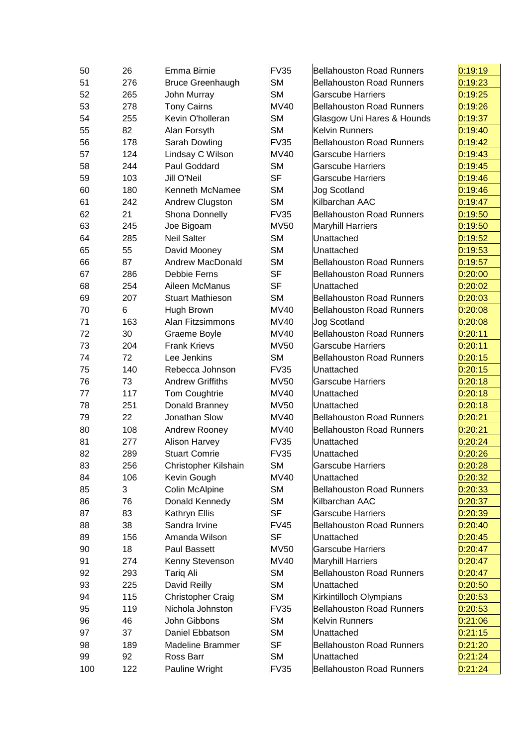| 50  | 26  | Emma Birnie              | FV35        | <b>Bellahouston Road Runners</b> | 0:19:19 |
|-----|-----|--------------------------|-------------|----------------------------------|---------|
| 51  | 276 | <b>Bruce Greenhaugh</b>  | <b>SM</b>   | <b>Bellahouston Road Runners</b> | 0:19:23 |
| 52  | 265 | John Murray              | <b>SM</b>   | <b>Garscube Harriers</b>         | 0:19:25 |
| 53  | 278 | <b>Tony Cairns</b>       | <b>MV40</b> | <b>Bellahouston Road Runners</b> | 0:19:26 |
| 54  | 255 | Kevin O'holleran         | <b>SM</b>   | Glasgow Uni Hares & Hounds       | 0:19:37 |
| 55  | 82  | Alan Forsyth             | <b>SM</b>   | <b>Kelvin Runners</b>            | 0:19:40 |
| 56  | 178 | Sarah Dowling            | FV35        | <b>Bellahouston Road Runners</b> | 0:19:42 |
| 57  | 124 | Lindsay C Wilson         | <b>MV40</b> | <b>Garscube Harriers</b>         | 0:19:43 |
| 58  | 244 | Paul Goddard             | <b>SM</b>   | <b>Garscube Harriers</b>         | 0:19:45 |
| 59  | 103 | <b>Jill O'Neil</b>       | <b>SF</b>   | <b>Garscube Harriers</b>         | 0:19:46 |
| 60  | 180 | <b>Kenneth McNamee</b>   | <b>SM</b>   | <b>Jog Scotland</b>              | 0:19:46 |
| 61  | 242 | Andrew Clugston          | <b>SM</b>   | Kilbarchan AAC                   | 0:19:47 |
| 62  | 21  | Shona Donnelly           | FV35        | <b>Bellahouston Road Runners</b> | 0:19:50 |
| 63  | 245 | Joe Bigoam               | <b>MV50</b> | <b>Maryhill Harriers</b>         | 0:19:50 |
| 64  | 285 | <b>Neil Salter</b>       | <b>SM</b>   | Unattached                       | 0:19:52 |
| 65  | 55  | David Mooney             | <b>SM</b>   | Unattached                       | 0:19:53 |
| 66  | 87  | <b>Andrew MacDonald</b>  | <b>SM</b>   | <b>Bellahouston Road Runners</b> | 0:19:57 |
| 67  | 286 | Debbie Ferns             | <b>SF</b>   | <b>Bellahouston Road Runners</b> | 0:20:00 |
| 68  | 254 | Aileen McManus           | <b>SF</b>   | Unattached                       | 0:20:02 |
| 69  | 207 | <b>Stuart Mathieson</b>  | <b>SM</b>   | <b>Bellahouston Road Runners</b> | 0:20:03 |
| 70  | 6   | Hugh Brown               | <b>MV40</b> | <b>Bellahouston Road Runners</b> | 0:20:08 |
| 71  | 163 | Alan Fitzsimmons         | MV40        | <b>Jog Scotland</b>              | 0:20:08 |
| 72  | 30  | Graeme Boyle             | <b>MV40</b> | <b>Bellahouston Road Runners</b> | 0:20:11 |
| 73  | 204 | <b>Frank Krievs</b>      | <b>MV50</b> | <b>Garscube Harriers</b>         | 0:20:11 |
| 74  | 72  | Lee Jenkins              | <b>SM</b>   | <b>Bellahouston Road Runners</b> | 0:20:15 |
| 75  | 140 | Rebecca Johnson          | <b>FV35</b> | Unattached                       | 0:20:15 |
| 76  | 73  | <b>Andrew Griffiths</b>  | <b>MV50</b> | <b>Garscube Harriers</b>         | 0:20:18 |
| 77  | 117 | Tom Coughtrie            | <b>MV40</b> | Unattached                       | 0:20:18 |
| 78  | 251 | Donald Branney           | <b>MV50</b> | Unattached                       | 0:20:18 |
| 79  | 22  | Jonathan Slow            | <b>MV40</b> | <b>Bellahouston Road Runners</b> | 0:20:21 |
| 80  | 108 | Andrew Rooney            | <b>MV40</b> | <b>Bellahouston Road Runners</b> | 0:20:21 |
| 81  | 277 | <b>Alison Harvey</b>     | FV35        | Unattached                       | 0:20:24 |
| 82  | 289 | <b>Stuart Comrie</b>     | FV35        | Unattached                       | 0:20:26 |
| 83  | 256 | Christopher Kilshain     | SМ          | <b>Garscube Harriers</b>         | 0:20:28 |
| 84  | 106 | Kevin Gough              | <b>MV40</b> | Unattached                       | 0:20:32 |
| 85  | 3   | Colin McAlpine           | <b>SM</b>   | <b>Bellahouston Road Runners</b> | 0:20:33 |
| 86  | 76  | Donald Kennedy           | <b>SM</b>   | Kilbarchan AAC                   | 0:20:37 |
| 87  | 83  | Kathryn Ellis            | <b>SF</b>   | <b>Garscube Harriers</b>         | 0:20:39 |
| 88  | 38  | Sandra Irvine            | FV45        | <b>Bellahouston Road Runners</b> | 0:20:40 |
| 89  | 156 | Amanda Wilson            | <b>SF</b>   | Unattached                       | 0:20:45 |
| 90  | 18  | Paul Bassett             | <b>MV50</b> | <b>Garscube Harriers</b>         | 0:20:47 |
| 91  | 274 | Kenny Stevenson          | <b>MV40</b> | <b>Maryhill Harriers</b>         | 0:20:47 |
| 92  | 293 | <b>Tariq Ali</b>         | <b>SM</b>   | <b>Bellahouston Road Runners</b> | 0:20:47 |
| 93  | 225 | David Reilly             | <b>SM</b>   | Unattached                       | 0:20:50 |
| 94  | 115 | <b>Christopher Craig</b> | <b>SM</b>   | Kirkintilloch Olympians          | 0:20:53 |
| 95  | 119 | Nichola Johnston         | <b>FV35</b> | <b>Bellahouston Road Runners</b> | 0:20:53 |
| 96  | 46  | John Gibbons             | <b>SM</b>   | Kelvin Runners                   | 0:21:06 |
| 97  | 37  | Daniel Ebbatson          | <b>SM</b>   | Unattached                       | 0:21:15 |
| 98  | 189 | <b>Madeline Brammer</b>  | <b>SF</b>   | <b>Bellahouston Road Runners</b> | 0:21:20 |
| 99  | 92  | Ross Barr                | <b>SM</b>   | Unattached                       | 0:21:24 |
| 100 | 122 | Pauline Wright           | FV35        | <b>Bellahouston Road Runners</b> | 0:21:24 |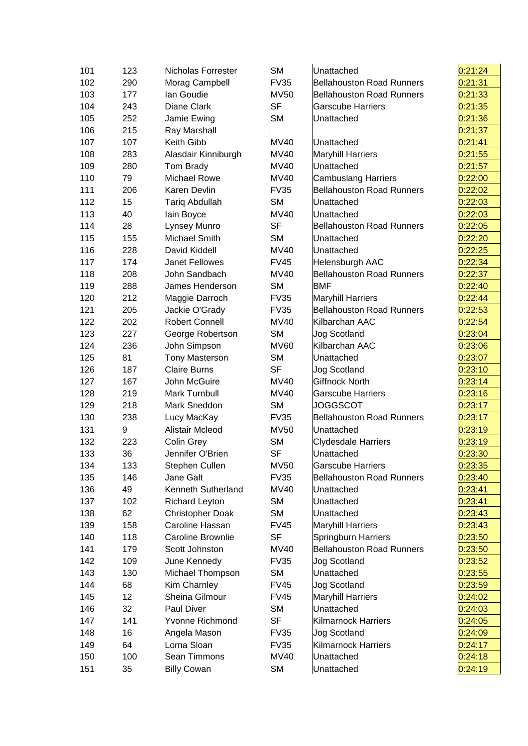| 101 | 123 | Nicholas Forrester       | <b>SM</b>   | Unattached                       | 0:21:24 |
|-----|-----|--------------------------|-------------|----------------------------------|---------|
| 102 | 290 | Morag Campbell           | <b>FV35</b> | <b>Bellahouston Road Runners</b> | 0:21:31 |
| 103 | 177 | lan Goudie               | <b>MV50</b> | <b>Bellahouston Road Runners</b> | 0:21:33 |
| 104 | 243 | Diane Clark              | <b>SF</b>   | <b>Garscube Harriers</b>         | 0:21:35 |
| 105 | 252 | Jamie Ewing              | <b>SM</b>   | Unattached                       | 0:21:36 |
| 106 | 215 | Ray Marshall             |             |                                  | 0:21:37 |
| 107 | 107 | Keith Gibb               | <b>MV40</b> | Unattached                       | 0:21:41 |
| 108 | 283 | Alasdair Kinniburgh      | <b>MV40</b> | <b>Maryhill Harriers</b>         | 0:21:55 |
| 109 | 280 | Tom Brady                | <b>MV40</b> | Unattached                       | 0:21:57 |
| 110 | 79  | <b>Michael Rowe</b>      | MV40        | <b>Cambuslang Harriers</b>       | 0:22:00 |
| 111 | 206 | Karen Devlin             | <b>FV35</b> | <b>Bellahouston Road Runners</b> | 0:22:02 |
| 112 | 15  | <b>Tariq Abdullah</b>    | <b>SM</b>   | Unattached                       | 0:22:03 |
| 113 | 40  | lain Boyce               | MV40        | Unattached                       | 0:22:03 |
| 114 | 28  | Lynsey Munro             | <b>SF</b>   | <b>Bellahouston Road Runners</b> | 0:22:05 |
| 115 | 155 | Michael Smith            | <b>SM</b>   | Unattached                       | 0:22:20 |
| 116 | 228 | David Kiddell            | <b>MV40</b> | Unattached                       | 0:22:25 |
| 117 | 174 | <b>Janet Fellowes</b>    | <b>FV45</b> | Helensburgh AAC                  | 0:22:34 |
| 118 | 208 | John Sandbach            | <b>MV40</b> | <b>Bellahouston Road Runners</b> | 0:22:37 |
| 119 | 288 | James Henderson          | <b>SM</b>   | <b>BMF</b>                       | 0:22:40 |
| 120 | 212 | Maggie Darroch           | FV35        | <b>Maryhill Harriers</b>         | 0:22:44 |
| 121 | 205 | Jackie O'Grady           | <b>FV35</b> | <b>Bellahouston Road Runners</b> | 0:22:53 |
| 122 | 202 | <b>Robert Connell</b>    | <b>MV40</b> | Kilbarchan AAC                   | 0:22:54 |
| 123 | 227 | George Robertson         | <b>SM</b>   | <b>Jog Scotland</b>              | 0:23:04 |
| 124 | 236 | John Simpson             | <b>MV60</b> | Kilbarchan AAC                   | 0:23:06 |
| 125 | 81  | <b>Tony Masterson</b>    | <b>SM</b>   | Unattached                       | 0:23:07 |
| 126 | 187 | <b>Claire Burns</b>      | <b>SF</b>   | <b>Jog Scotland</b>              | 0:23:10 |
| 127 | 167 | John McGuire             | <b>MV40</b> | <b>Giffnock North</b>            | 0:23:14 |
| 128 | 219 | Mark Turnbull            | <b>MV40</b> | <b>Garscube Harriers</b>         | 0:23:16 |
| 129 | 218 | Mark Sneddon             | <b>SM</b>   | <b>JOGGSCOT</b>                  | 0:23:17 |
| 130 | 238 | Lucy MacKay              | <b>FV35</b> | <b>Bellahouston Road Runners</b> | 0:23:17 |
| 131 | 9   | Alistair Mcleod          | <b>MV50</b> | Unattached                       | 0:23:19 |
| 132 | 223 | Colin Grey               | <b>SM</b>   | <b>Clydesdale Harriers</b>       | 0:23:19 |
| 133 | 36  | Jennifer O'Brien         | <b>SF</b>   | Unattached                       | 0:23:30 |
| 134 | 133 | Stephen Cullen           | MV50        | Garscube Harriers                | 0:23:35 |
| 135 | 146 | Jane Galt                | <b>FV35</b> | <b>Bellahouston Road Runners</b> | 0:23:40 |
| 136 | 49  | Kenneth Sutherland       | <b>MV40</b> | Unattached                       | 0:23:41 |
| 137 | 102 | <b>Richard Leyton</b>    | <b>SM</b>   | Unattached                       | 0:23:41 |
| 138 | 62  | <b>Christopher Doak</b>  | SM          | Unattached                       | 0:23:43 |
| 139 | 158 | Caroline Hassan          | <b>FV45</b> | <b>Maryhill Harriers</b>         | 0:23:43 |
| 140 | 118 | <b>Caroline Brownlie</b> | <b>SF</b>   | <b>Springburn Harriers</b>       | 0:23:50 |
| 141 | 179 | Scott Johnston           | <b>MV40</b> | <b>Bellahouston Road Runners</b> | 0:23:50 |
| 142 | 109 | June Kennedy             | <b>FV35</b> | Jog Scotland                     | 0:23:52 |
| 143 | 130 | Michael Thompson         | <b>SM</b>   | Unattached                       | 0:23:55 |
| 144 | 68  | Kim Charnley             | <b>FV45</b> | <b>Jog Scotland</b>              | 0:23:59 |
| 145 | 12  | Sheina Gilmour           | <b>FV45</b> | <b>Maryhill Harriers</b>         | 0:24:02 |
| 146 | 32  | Paul Diver               | <b>SM</b>   | Unattached                       | 0:24:03 |
| 147 | 141 | Yvonne Richmond          | <b>SF</b>   | Kilmarnock Harriers              | 0:24:05 |
| 148 | 16  | Angela Mason             | <b>FV35</b> | <b>Jog Scotland</b>              | 0:24:09 |
| 149 | 64  | Lorna Sloan              | <b>FV35</b> | Kilmarnock Harriers              | 0:24:17 |
| 150 | 100 | Sean Timmons             | <b>MV40</b> | Unattached                       | 0:24:18 |
| 151 | 35  | <b>Billy Cowan</b>       | <b>SM</b>   | Unattached                       | 0:24:19 |
|     |     |                          |             |                                  |         |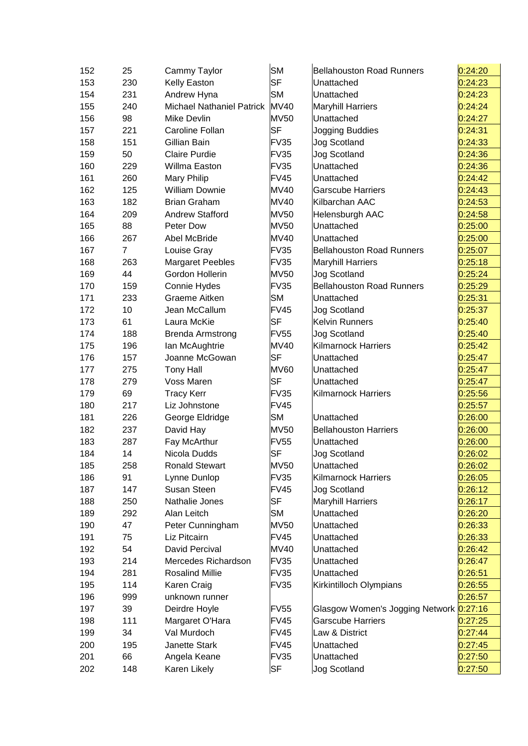| 152 | 25             | Cammy Taylor                     | <b>SM</b>   | <b>Bellahouston Road Runners</b>        | 0:24:20 |
|-----|----------------|----------------------------------|-------------|-----------------------------------------|---------|
| 153 | 230            | Kelly Easton                     | <b>SF</b>   | Unattached                              | 0:24:23 |
| 154 | 231            | Andrew Hyna                      | <b>SM</b>   | Unattached                              | 0:24:23 |
| 155 | 240            | <b>Michael Nathaniel Patrick</b> | <b>MV40</b> | <b>Maryhill Harriers</b>                | 0:24:24 |
| 156 | 98             | Mike Devlin                      | <b>MV50</b> | Unattached                              | 0:24:27 |
| 157 | 221            | Caroline Follan                  | <b>SF</b>   | Jogging Buddies                         | 0:24:31 |
| 158 | 151            | Gillian Bain                     | FV35        | Jog Scotland                            | 0:24:33 |
| 159 | 50             | <b>Claire Purdie</b>             | FV35        | <b>Jog Scotland</b>                     | 0:24:36 |
| 160 | 229            | Willma Easton                    | FV35        | Unattached                              | 0:24:36 |
| 161 | 260            | Mary Philip                      | FV45        | Unattached                              | 0:24:42 |
| 162 | 125            | <b>William Downie</b>            | <b>MV40</b> | <b>Garscube Harriers</b>                | 0:24:43 |
| 163 | 182            | <b>Brian Graham</b>              | <b>MV40</b> | Kilbarchan AAC                          | 0:24:53 |
| 164 | 209            | <b>Andrew Stafford</b>           | <b>MV50</b> | Helensburgh AAC                         | 0:24:58 |
| 165 | 88             | Peter Dow                        | <b>MV50</b> | Unattached                              | 0:25:00 |
| 166 | 267            | Abel McBride                     | <b>MV40</b> | Unattached                              | 0:25:00 |
| 167 | $\overline{7}$ | Louise Gray                      | FV35        | <b>Bellahouston Road Runners</b>        | 0:25:07 |
| 168 | 263            | <b>Margaret Peebles</b>          | FV35        | <b>Maryhill Harriers</b>                | 0:25:18 |
| 169 | 44             | Gordon Hollerin                  | <b>MV50</b> | <b>Jog Scotland</b>                     | 0:25:24 |
| 170 | 159            | Connie Hydes                     | <b>FV35</b> | <b>Bellahouston Road Runners</b>        | 0:25:29 |
| 171 | 233            | Graeme Aitken                    | <b>SM</b>   | Unattached                              | 0:25:31 |
| 172 | 10             | Jean McCallum                    | FV45        | <b>Jog Scotland</b>                     | 0:25:37 |
| 173 | 61             | Laura McKie                      | <b>SF</b>   | <b>Kelvin Runners</b>                   | 0:25:40 |
| 174 | 188            | <b>Brenda Armstrong</b>          | <b>FV55</b> | Jog Scotland                            | 0:25:40 |
| 175 | 196            | Ian McAughtrie                   | <b>MV40</b> | <b>Kilmarnock Harriers</b>              | 0:25:42 |
| 176 | 157            | Joanne McGowan                   | <b>SF</b>   | Unattached                              | 0:25:47 |
| 177 | 275            | <b>Tony Hall</b>                 | <b>MV60</b> | Unattached                              | 0:25:47 |
| 178 | 279            | Voss Maren                       | <b>SF</b>   | Unattached                              | 0:25:47 |
| 179 | 69             | <b>Tracy Kerr</b>                | <b>FV35</b> | <b>Kilmarnock Harriers</b>              | 0:25:56 |
| 180 | 217            | Liz Johnstone                    | <b>FV45</b> |                                         | 0:25:57 |
| 181 | 226            | George Eldridge                  | <b>SM</b>   | Unattached                              | 0:26:00 |
| 182 | 237            | David Hay                        | <b>MV50</b> | <b>Bellahouston Harriers</b>            | 0:26:00 |
| 183 | 287            | Fay McArthur                     | <b>FV55</b> | Unattached                              | 0:26:00 |
| 184 | 14             | Nicola Dudds                     | <b>SF</b>   | <b>Jog Scotland</b>                     | 0:26:02 |
| 185 | 258            | <b>Ronald Stewart</b>            | <b>MV50</b> | Unattached                              | 0:26:02 |
| 186 | 91             | Lynne Dunlop                     | <b>FV35</b> | Kilmarnock Harriers                     | 0:26:05 |
| 187 | 147            | Susan Steen                      | <b>FV45</b> | Jog Scotland                            | 0:26:12 |
| 188 | 250            | Nathalie Jones                   | SF          | <b>Maryhill Harriers</b>                | 0:26:17 |
| 189 | 292            | Alan Leitch                      | <b>SM</b>   | Unattached                              | 0:26:20 |
| 190 | 47             | Peter Cunningham                 | <b>MV50</b> | Unattached                              | 0:26:33 |
| 191 | 75             | Liz Pitcairn                     | <b>FV45</b> | Unattached                              | 0:26:33 |
| 192 | 54             | <b>David Percival</b>            | <b>MV40</b> | Unattached                              | 0:26:42 |
| 193 | 214            | Mercedes Richardson              | FV35        | Unattached                              | 0:26:47 |
| 194 | 281            | <b>Rosalind Millie</b>           | <b>FV35</b> | Unattached                              | 0:26:51 |
| 195 | 114            | Karen Craig                      | FV35        | Kirkintilloch Olympians                 | 0:26:55 |
| 196 | 999            | unknown runner                   |             |                                         | 0:26:57 |
| 197 | 39             | Deirdre Hoyle                    | <b>FV55</b> | Glasgow Women's Jogging Network 0:27:16 |         |
| 198 | 111            | Margaret O'Hara                  | <b>FV45</b> | <b>Garscube Harriers</b>                | 0:27:25 |
| 199 | 34             | Val Murdoch                      | FV45        | Law & District                          | 0:27:44 |
| 200 | 195            | Janette Stark                    | FV45        | Unattached                              | 0:27:45 |
| 201 | 66             | Angela Keane                     | FV35        | Unattached                              | 0:27:50 |
| 202 | 148            | Karen Likely                     | <b>SF</b>   | Jog Scotland                            | 0:27:50 |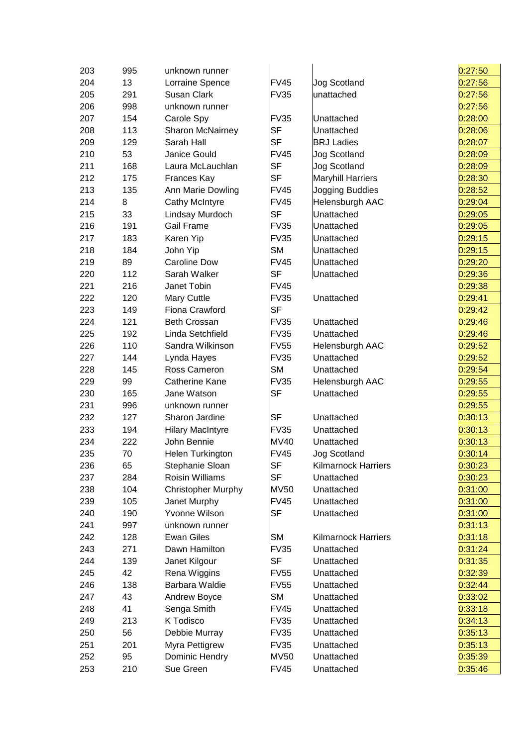| 203 | 995 | unknown runner          |             |                            | 0:27:50 |
|-----|-----|-------------------------|-------------|----------------------------|---------|
| 204 | 13  | Lorraine Spence         | <b>FV45</b> | Jog Scotland               | 0:27:56 |
| 205 | 291 | Susan Clark             | <b>FV35</b> | unattached                 | 0:27:56 |
| 206 | 998 | unknown runner          |             |                            | 0:27:56 |
| 207 | 154 | Carole Spy              | <b>FV35</b> | Unattached                 | 0:28:00 |
| 208 | 113 | Sharon McNairney        | <b>SF</b>   | Unattached                 | 0:28:06 |
| 209 | 129 | Sarah Hall              | <b>SF</b>   | <b>BRJ Ladies</b>          | 0:28:07 |
| 210 | 53  | Janice Gould            | <b>FV45</b> | Jog Scotland               | 0:28:09 |
| 211 | 168 | Laura McLauchlan        | <b>SF</b>   | <b>Jog Scotland</b>        | 0:28:09 |
| 212 | 175 | Frances Kay             | <b>SF</b>   | <b>Maryhill Harriers</b>   | 0:28:30 |
| 213 | 135 | Ann Marie Dowling       | <b>FV45</b> | Jogging Buddies            | 0:28:52 |
| 214 | 8   | <b>Cathy McIntyre</b>   | <b>FV45</b> | Helensburgh AAC            | 0:29:04 |
| 215 | 33  | Lindsay Murdoch         | <b>SF</b>   | Unattached                 | 0:29:05 |
| 216 | 191 | <b>Gail Frame</b>       | <b>FV35</b> | Unattached                 | 0:29:05 |
| 217 | 183 | Karen Yip               | <b>FV35</b> | Unattached                 | 0:29:15 |
| 218 | 184 | John Yip                | <b>SM</b>   | Unattached                 | 0:29:15 |
| 219 | 89  | <b>Caroline Dow</b>     | <b>FV45</b> | Unattached                 | 0:29:20 |
| 220 | 112 | Sarah Walker            | <b>SF</b>   | Unattached                 | 0:29:36 |
| 221 | 216 | Janet Tobin             | <b>FV45</b> |                            | 0:29:38 |
| 222 | 120 | Mary Cuttle             | <b>FV35</b> | Unattached                 | 0:29:41 |
| 223 | 149 | Fiona Crawford          | <b>SF</b>   |                            | 0:29:42 |
| 224 | 121 | <b>Beth Crossan</b>     | <b>FV35</b> | Unattached                 | 0:29:46 |
| 225 | 192 | Linda Setchfield        | <b>FV35</b> | Unattached                 | 0:29:46 |
| 226 | 110 | Sandra Wilkinson        | <b>FV55</b> | Helensburgh AAC            | 0:29:52 |
| 227 | 144 | Lynda Hayes             | <b>FV35</b> | Unattached                 | 0:29:52 |
| 228 | 145 | Ross Cameron            | <b>SM</b>   | Unattached                 | 0:29:54 |
| 229 | 99  | Catherine Kane          | <b>FV35</b> | Helensburgh AAC            | 0:29:55 |
| 230 | 165 | Jane Watson             | <b>SF</b>   | Unattached                 | 0:29:55 |
| 231 | 996 | unknown runner          |             |                            | 0:29:55 |
| 232 | 127 | Sharon Jardine          | <b>SF</b>   | Unattached                 | 0:30:13 |
| 233 | 194 | <b>Hilary MacIntyre</b> | <b>FV35</b> | Unattached                 | 0:30:13 |
| 234 | 222 | John Bennie             | <b>MV40</b> | Unattached                 | 0:30:13 |
| 235 | 70  | Helen Turkington        | <b>FV45</b> | Jog Scotland               | 0:30:14 |
| 236 | 65  | Stephanie Sloan         | <b>SF</b>   | <b>Kilmarnock Harriers</b> | 0:30:23 |
| 237 | 284 | <b>Roisin Williams</b>  | <b>SF</b>   | Unattached                 | 0:30:23 |
| 238 | 104 | Christopher Murphy      | <b>MV50</b> | Unattached                 | 0:31:00 |
| 239 | 105 | Janet Murphy            | <b>FV45</b> | Unattached                 | 0:31:00 |
| 240 | 190 | Yvonne Wilson           | <b>SF</b>   | Unattached                 | 0:31:00 |
| 241 | 997 | unknown runner          |             |                            | 0:31:13 |
| 242 | 128 | <b>Ewan Giles</b>       | <b>SM</b>   | <b>Kilmarnock Harriers</b> | 0:31:18 |
| 243 | 271 | Dawn Hamilton           | <b>FV35</b> | Unattached                 | 0:31:24 |
| 244 | 139 | Janet Kilgour           | <b>SF</b>   | Unattached                 | 0:31:35 |
| 245 | 42  | Rena Wiggins            | <b>FV55</b> | Unattached                 | 0:32:39 |
| 246 | 138 | Barbara Waldie          | <b>FV55</b> | Unattached                 | 0:32:44 |
| 247 | 43  | Andrew Boyce            | <b>SM</b>   | Unattached                 | 0:33:02 |
| 248 | 41  | Senga Smith             | <b>FV45</b> | Unattached                 | 0:33:18 |
| 249 | 213 | K Todisco               | <b>FV35</b> | Unattached                 | 0:34:13 |
| 250 | 56  | Debbie Murray           | <b>FV35</b> | Unattached                 | 0:35:13 |
| 251 | 201 | Myra Pettigrew          | <b>FV35</b> | Unattached                 | 0:35:13 |
| 252 | 95  | Dominic Hendry          | <b>MV50</b> | Unattached                 | 0:35:39 |
| 253 | 210 | Sue Green               | <b>FV45</b> | Unattached                 | 0:35:46 |
|     |     |                         |             |                            |         |